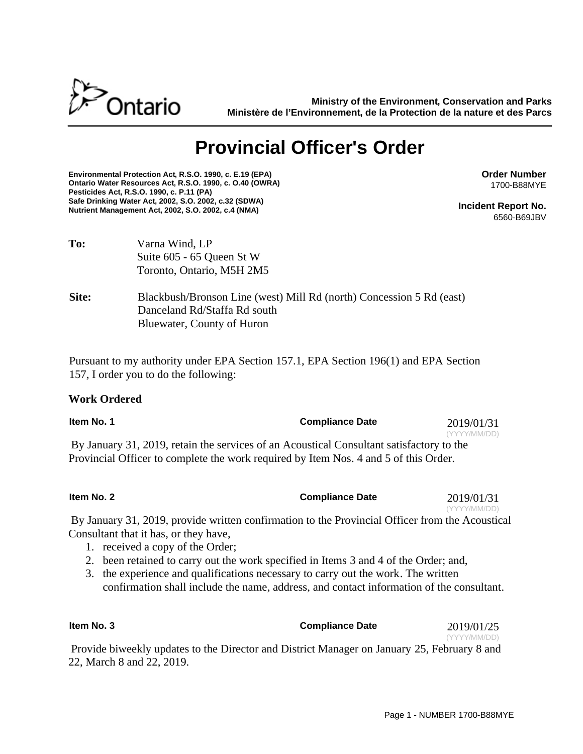

**Ministry of the Environment, Conservation and Parks Ministère de l'Environnement, de la Protection de la nature et des Parcs**

# **Provincial Officer's Order**

**Environmental Protection Act, R.S.O. 1990, c. E.19 (EPA) Ontario Water Resources Act, R.S.O. 1990, c. O.40 (OWRA) Pesticides Act, R.S.O. 1990, c. P.11 (PA) Safe Drinking Water Act, 2002, S.O. 2002, c.32 (SDWA) Nutrient Management Act, 2002, S.O. 2002, c.4 (NMA)**

**Order Number** 1700-B88MYE

**Incident Report No.** 6560-B69JBV

| To:   | Varna Wind, LP<br>Suite 605 - 65 Queen St W<br>Toronto, Ontario, M5H 2M5                                                           |
|-------|------------------------------------------------------------------------------------------------------------------------------------|
| Site: | Blackbush/Bronson Line (west) Mill Rd (north) Concession 5 Rd (east)<br>Danceland Rd/Staffa Rd south<br>Bluewater, County of Huron |

Pursuant to my authority under EPA Section 157.1, EPA Section 196(1) and EPA Section 157, I order you to do the following:

## **Work Ordered**

| Item No. 1                                                                                                                                                                       | <b>Compliance Date</b> | 2019/01/31<br>(YYYY/MM/DD) |
|----------------------------------------------------------------------------------------------------------------------------------------------------------------------------------|------------------------|----------------------------|
| By January 31, 2019, retain the services of an Acoustical Consultant satisfactory to the<br>Provincial Officer to complete the work required by Item Nos. 4 and 5 of this Order. |                        |                            |

| Item No. 2 | <b>Compliance Date</b> | 2019/01/31   |
|------------|------------------------|--------------|
|            |                        | (YYYY/MM/DD) |

By January 31, 2019, provide written confirmation to the Provincial Officer from the Acoustical Consultant that it has, or they have,

- 1. received a copy of the Order;
- 2. been retained to carry out the work specified in Items 3 and 4 of the Order; and,
- 3. the experience and qualifications necessary to carry out the work. The written confirmation shall include the name, address, and contact information of the consultant.

**Item No. 3** Compliance Date 2019/01/25 (YYYY/MM/DD)

Provide biweekly updates to the Director and District Manager on January 25, February 8 and 22, March 8 and 22, 2019.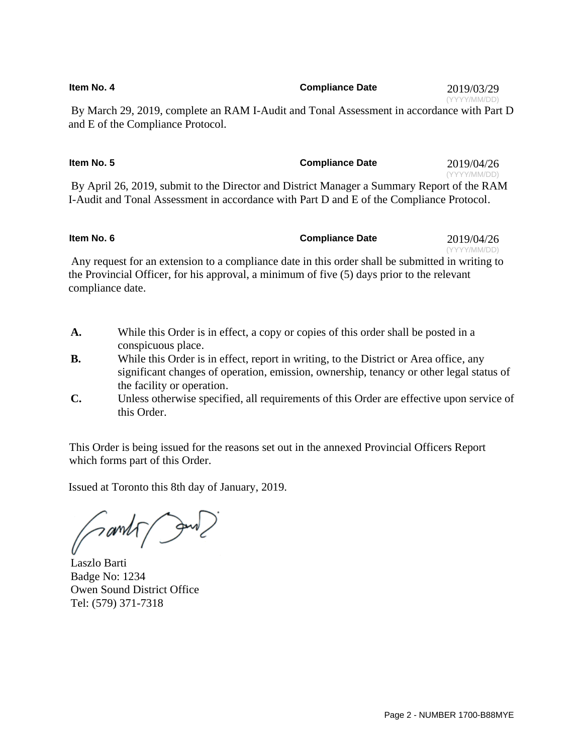| Item No. 4 | <b>Compliance Date</b> | 2019/03/29   |
|------------|------------------------|--------------|
|            |                        | (YYYY/MM/DD) |

By March 29, 2019, complete an RAM I-Audit and Tonal Assessment in accordance with Part D and E of the Compliance Protocol.

| Item No. 5                                                                                 | <b>Compliance Date</b> | 2019/04/26   |
|--------------------------------------------------------------------------------------------|------------------------|--------------|
|                                                                                            |                        | (YYYY/MM/DD) |
| By April 26, 2019, submit to the Director and District Manager a Summary Report of the RAM |                        |              |
| I-Audit and Tonal Assessment in accordance with Part D and E of the Compliance Protocol.   |                        |              |

| Item No. 6                                                                                       | <b>Compliance Date</b> | 2019/04/26   |
|--------------------------------------------------------------------------------------------------|------------------------|--------------|
|                                                                                                  |                        | (YYYY/MM/DD) |
| Any request for an extension to a compliance date in this order shall be submitted in writing to |                        |              |

the Provincial Officer, for his approval, a minimum of five (5) days prior to the relevant compliance date.

- **A.** While this Order is in effect, a copy or copies of this order shall be posted in a conspicuous place.
- **B.** While this Order is in effect, report in writing, to the District or Area office, any significant changes of operation, emission, ownership, tenancy or other legal status of the facility or operation.
- **C.** Unless otherwise specified, all requirements of this Order are effective upon service of this Order.

This Order is being issued for the reasons set out in the annexed Provincial Officers Report which forms part of this Order.

Issued at Toronto this 8th day of January, 2019.

Samp June

Laszlo Barti Badge No: 1234 Owen Sound District Office Tel: (579) 371-7318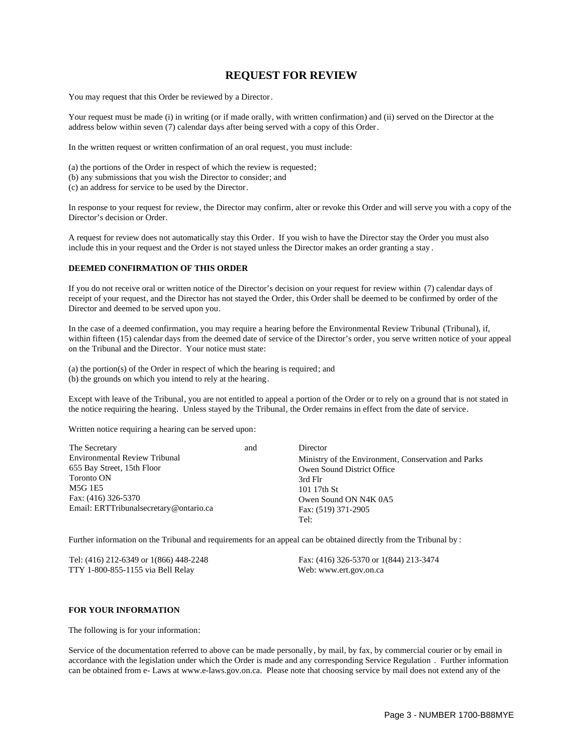## **REQUEST FOR REVIEW**

You may request that this Order be reviewed by a Director.

Your request must be made (i) in writing (or if made orally, with written confirmation) and (ii) served on the Director at the address below within seven (7) calendar days after being served with a copy of this Order.

In the written request or written confirmation of an oral request, you must include:

(a) the portions of the Order in respect of which the review is requested;

(b) any submissions that you wish the Director to consider; and

(c) an address for service to be used by the Director.

In response to your request for review, the Director may confirm, alter or revoke this Order and will serve you with a copy of the Director's decision or Order.

A request for review does not automatically stay this Order. If you wish to have the Director stay the Order you must also include this in your request and the Order is not stayed unless the Director makes an order granting a stay .

### **DEEMED CONFIRMATION OF THIS ORDER**

If you do not receive oral or written notice of the Director's decision on your request for review within (7) calendar days of receipt of your request, and the Director has not stayed the Order, this Order shall be deemed to be confirmed by order of the Director and deemed to be served upon you.

In the case of a deemed confirmation, you may require a hearing before the Environmental Review Tribunal (Tribunal), if, within fifteen (15) calendar days from the deemed date of service of the Director's order, you serve written notice of your appeal on the Tribunal and the Director. Your notice must state:

(a) the portion(s) of the Order in respect of which the hearing is required; and (b) the grounds on which you intend to rely at the hearing.

Except with leave of the Tribunal, you are not entitled to appeal a portion of the Order or to rely on a ground that is not stated in the notice requiring the hearing. Unless stayed by the Tribunal, the Order remains in effect from the date of service.

Written notice requiring a hearing can be served upon:

| The Secretary                          | and | Director                                            |
|----------------------------------------|-----|-----------------------------------------------------|
| Environmental Review Tribunal          |     | Ministry of the Environment, Conservation and Parks |
| 655 Bay Street, 15th Floor             |     | Owen Sound District Office                          |
| Toronto ON                             |     | 3rd Flr                                             |
| M5G 1E5                                |     | 101 17th St                                         |
| Fax: (416) 326-5370                    |     | Owen Sound ON N4K 0A5                               |
| Email: ERTTribunalsecretary@ontario.ca |     | Fax: (519) 371-2905                                 |
|                                        |     | Tel:                                                |

Further information on the Tribunal and requirements for an appeal can be obtained directly from the Tribunal by :

Tel: (416) 212-6349 or 1(866) 448-2248 Fax: (416) 326-5370 or 1(844) 213-3474 TTY 1-800-855-1155 via Bell Relay Web: www.ert.gov.on.ca

### **FOR YOUR INFORMATION**

The following is for your information:

Service of the documentation referred to above can be made personally, by mail, by fax, by commercial courier or by email in accordance with the legislation under which the Order is made and any corresponding Service Regulation . Further information can be obtained from e- Laws at www.e-laws.gov.on.ca. Please note that choosing service by mail does not extend any of the